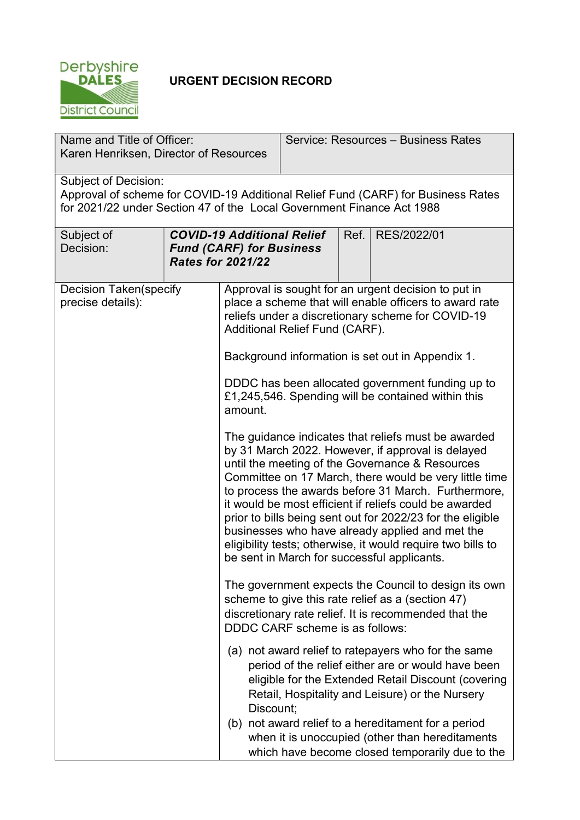

## URGENT DECISION RECORD

| Name and Title of Officer:<br>Karen Henriksen, Director of Resources                                                                                                                     |  |                                                                                                                                                                                                                                                                                                                                                                                                                                                                                                                                                                       | Service: Resources - Business Rates |  |                                                                                                                                                                                                                                                                                                                               |  |
|------------------------------------------------------------------------------------------------------------------------------------------------------------------------------------------|--|-----------------------------------------------------------------------------------------------------------------------------------------------------------------------------------------------------------------------------------------------------------------------------------------------------------------------------------------------------------------------------------------------------------------------------------------------------------------------------------------------------------------------------------------------------------------------|-------------------------------------|--|-------------------------------------------------------------------------------------------------------------------------------------------------------------------------------------------------------------------------------------------------------------------------------------------------------------------------------|--|
| <b>Subject of Decision:</b><br>Approval of scheme for COVID-19 Additional Relief Fund (CARF) for Business Rates<br>for 2021/22 under Section 47 of the Local Government Finance Act 1988 |  |                                                                                                                                                                                                                                                                                                                                                                                                                                                                                                                                                                       |                                     |  |                                                                                                                                                                                                                                                                                                                               |  |
| Subject of<br>Decision:                                                                                                                                                                  |  | <b>COVID-19 Additional Relief</b><br><b>Fund (CARF) for Business</b><br><b>Rates for 2021/22</b>                                                                                                                                                                                                                                                                                                                                                                                                                                                                      |                                     |  | RES/2022/01<br>Ref.                                                                                                                                                                                                                                                                                                           |  |
| <b>Decision Taken (specify</b><br>precise details):                                                                                                                                      |  | Approval is sought for an urgent decision to put in<br>place a scheme that will enable officers to award rate<br>reliefs under a discretionary scheme for COVID-19<br><b>Additional Relief Fund (CARF).</b>                                                                                                                                                                                                                                                                                                                                                           |                                     |  |                                                                                                                                                                                                                                                                                                                               |  |
|                                                                                                                                                                                          |  | Background information is set out in Appendix 1.<br>DDDC has been allocated government funding up to<br>£1,245,546. Spending will be contained within this<br>amount.                                                                                                                                                                                                                                                                                                                                                                                                 |                                     |  |                                                                                                                                                                                                                                                                                                                               |  |
|                                                                                                                                                                                          |  | The guidance indicates that reliefs must be awarded<br>by 31 March 2022. However, if approval is delayed<br>until the meeting of the Governance & Resources<br>Committee on 17 March, there would be very little time<br>to process the awards before 31 March. Furthermore,<br>it would be most efficient if reliefs could be awarded<br>prior to bills being sent out for 2022/23 for the eligible<br>businesses who have already applied and met the<br>eligibility tests; otherwise, it would require two bills to<br>be sent in March for successful applicants. |                                     |  |                                                                                                                                                                                                                                                                                                                               |  |
|                                                                                                                                                                                          |  | The government expects the Council to design its own<br>scheme to give this rate relief as a (section 47)<br>discretionary rate relief. It is recommended that the<br><b>DDDC CARF scheme is as follows:</b>                                                                                                                                                                                                                                                                                                                                                          |                                     |  |                                                                                                                                                                                                                                                                                                                               |  |
|                                                                                                                                                                                          |  | Discount;                                                                                                                                                                                                                                                                                                                                                                                                                                                                                                                                                             |                                     |  | (a) not award relief to ratepayers who for the same<br>period of the relief either are or would have been<br>eligible for the Extended Retail Discount (covering<br>Retail, Hospitality and Leisure) or the Nursery<br>(b) not award relief to a hereditament for a period<br>when it is unoccupied (other than hereditaments |  |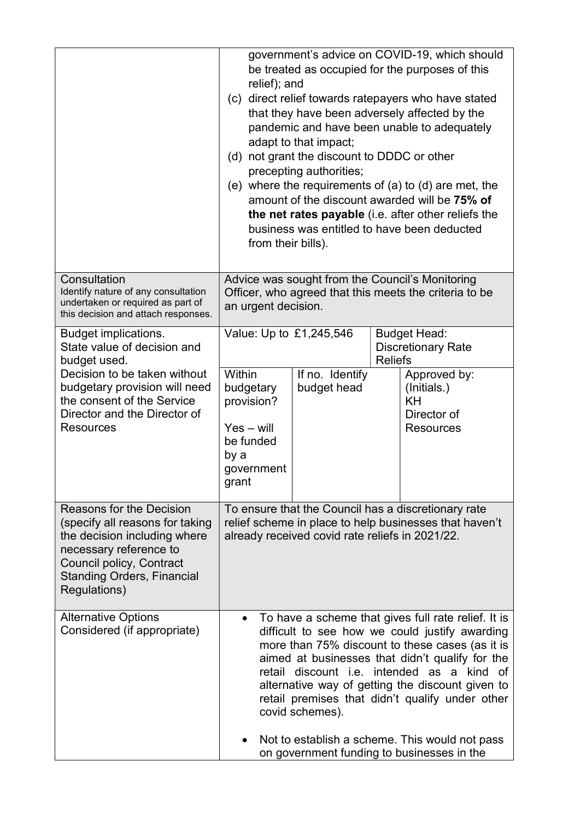|                                                                                                                                                                                                        | government's advice on COVID-19, which should<br>be treated as occupied for the purposes of this<br>relief); and<br>(c) direct relief towards ratepayers who have stated<br>that they have been adversely affected by the<br>pandemic and have been unable to adequately<br>adapt to that impact;<br>(d) not grant the discount to DDDC or other<br>precepting authorities;<br>(e) where the requirements of (a) to (d) are met, the<br>amount of the discount awarded will be 75% of<br>the net rates payable (i.e. after other reliefs the<br>business was entitled to have been deducted<br>from their bills). |                                |                                                                    |                                                                             |
|--------------------------------------------------------------------------------------------------------------------------------------------------------------------------------------------------------|-------------------------------------------------------------------------------------------------------------------------------------------------------------------------------------------------------------------------------------------------------------------------------------------------------------------------------------------------------------------------------------------------------------------------------------------------------------------------------------------------------------------------------------------------------------------------------------------------------------------|--------------------------------|--------------------------------------------------------------------|-----------------------------------------------------------------------------|
| Consultation<br>Identify nature of any consultation<br>undertaken or required as part of<br>this decision and attach responses.                                                                        | Advice was sought from the Council's Monitoring<br>Officer, who agreed that this meets the criteria to be<br>an urgent decision.                                                                                                                                                                                                                                                                                                                                                                                                                                                                                  |                                |                                                                    |                                                                             |
| <b>Budget implications.</b><br>State value of decision and<br>budget used.                                                                                                                             | Value: Up to £1,245,546                                                                                                                                                                                                                                                                                                                                                                                                                                                                                                                                                                                           |                                | <b>Budget Head:</b><br><b>Discretionary Rate</b><br><b>Reliefs</b> |                                                                             |
| Decision to be taken without<br>budgetary provision will need<br>the consent of the Service<br>Director and the Director of<br><b>Resources</b>                                                        | <b>Within</b><br>budgetary<br>provision?<br>$Yes - will$<br>be funded<br>by a<br>government<br>grant                                                                                                                                                                                                                                                                                                                                                                                                                                                                                                              | If no. Identify<br>budget head |                                                                    | Approved by:<br>(Initials.)<br><b>KH</b><br>Director of<br><b>Resources</b> |
| Reasons for the Decision<br>(specify all reasons for taking<br>the decision including where<br>necessary reference to<br>Council policy, Contract<br><b>Standing Orders, Financial</b><br>Regulations) | To ensure that the Council has a discretionary rate<br>relief scheme in place to help businesses that haven't<br>already received covid rate reliefs in 2021/22.                                                                                                                                                                                                                                                                                                                                                                                                                                                  |                                |                                                                    |                                                                             |
| <b>Alternative Options</b><br>Considered (if appropriate)                                                                                                                                              | To have a scheme that gives full rate relief. It is<br>difficult to see how we could justify awarding<br>more than 75% discount to these cases (as it is<br>aimed at businesses that didn't qualify for the<br>retail discount <i>i.e.</i> intended as a kind of<br>alternative way of getting the discount given to<br>retail premises that didn't qualify under other<br>covid schemes).<br>Not to establish a scheme. This would not pass<br>on government funding to businesses in the                                                                                                                        |                                |                                                                    |                                                                             |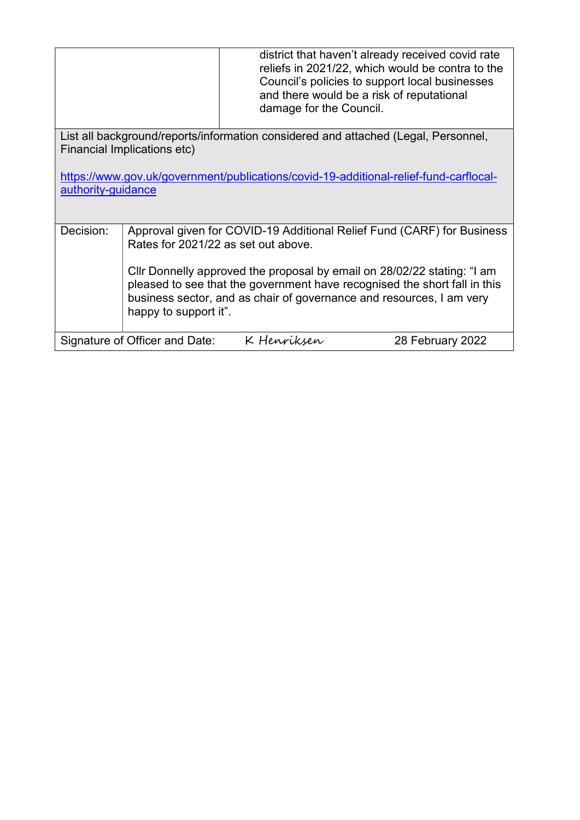|                                                                                                                   |                                                                                                                                                                                                                                                       | damage for the Council. | district that haven't already received covid rate<br>reliefs in 2021/22, which would be contra to the<br>Council's policies to support local businesses<br>and there would be a risk of reputational |  |  |  |
|-------------------------------------------------------------------------------------------------------------------|-------------------------------------------------------------------------------------------------------------------------------------------------------------------------------------------------------------------------------------------------------|-------------------------|------------------------------------------------------------------------------------------------------------------------------------------------------------------------------------------------------|--|--|--|
| List all background/reports/information considered and attached (Legal, Personnel,<br>Financial Implications etc) |                                                                                                                                                                                                                                                       |                         |                                                                                                                                                                                                      |  |  |  |
|                                                                                                                   |                                                                                                                                                                                                                                                       |                         |                                                                                                                                                                                                      |  |  |  |
| https://www.gov.uk/government/publications/covid-19-additional-relief-fund-carflocal-                             |                                                                                                                                                                                                                                                       |                         |                                                                                                                                                                                                      |  |  |  |
|                                                                                                                   | authority-guidance                                                                                                                                                                                                                                    |                         |                                                                                                                                                                                                      |  |  |  |
|                                                                                                                   |                                                                                                                                                                                                                                                       |                         |                                                                                                                                                                                                      |  |  |  |
| Decision:                                                                                                         | Approval given for COVID-19 Additional Relief Fund (CARF) for Business<br>Rates for 2021/22 as set out above.                                                                                                                                         |                         |                                                                                                                                                                                                      |  |  |  |
|                                                                                                                   | Cllr Donnelly approved the proposal by email on 28/02/22 stating: "I am<br>pleased to see that the government have recognised the short fall in this<br>business sector, and as chair of governance and resources, I am very<br>happy to support it". |                         |                                                                                                                                                                                                      |  |  |  |
| Signature of Officer and Date:<br>K Henriksen<br>28 February 2022                                                 |                                                                                                                                                                                                                                                       |                         |                                                                                                                                                                                                      |  |  |  |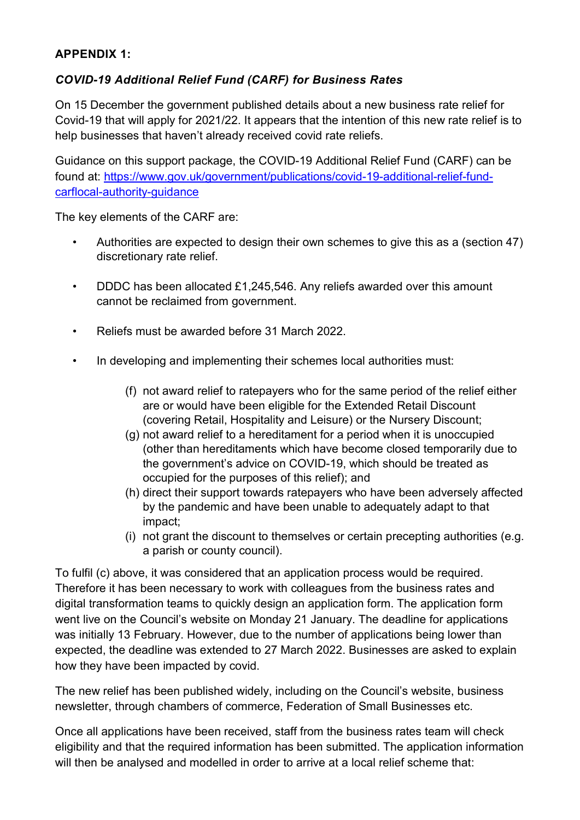## APPENDIX 1:

## COVID-19 Additional Relief Fund (CARF) for Business Rates

On 15 December the government published details about a new business rate relief for Covid-19 that will apply for 2021/22. It appears that the intention of this new rate relief is to help businesses that haven't already received covid rate reliefs.

Guidance on this support package, the COVID-19 Additional Relief Fund (CARF) can be found at: https://www.gov.uk/government/publications/covid-19-additional-relief-fundcarflocal-authority-guidance

The key elements of the CARF are:

- Authorities are expected to design their own schemes to give this as a (section 47) discretionary rate relief.
- DDDC has been allocated £1,245,546. Any reliefs awarded over this amount cannot be reclaimed from government.
- Reliefs must be awarded before 31 March 2022.
- In developing and implementing their schemes local authorities must:
	- (f) not award relief to ratepayers who for the same period of the relief either are or would have been eligible for the Extended Retail Discount (covering Retail, Hospitality and Leisure) or the Nursery Discount;
	- (g) not award relief to a hereditament for a period when it is unoccupied (other than hereditaments which have become closed temporarily due to the government's advice on COVID-19, which should be treated as occupied for the purposes of this relief); and
	- (h) direct their support towards ratepayers who have been adversely affected by the pandemic and have been unable to adequately adapt to that impact;
	- (i) not grant the discount to themselves or certain precepting authorities (e.g. a parish or county council).

To fulfil (c) above, it was considered that an application process would be required. Therefore it has been necessary to work with colleagues from the business rates and digital transformation teams to quickly design an application form. The application form went live on the Council's website on Monday 21 January. The deadline for applications was initially 13 February. However, due to the number of applications being lower than expected, the deadline was extended to 27 March 2022. Businesses are asked to explain how they have been impacted by covid.

The new relief has been published widely, including on the Council's website, business newsletter, through chambers of commerce, Federation of Small Businesses etc.

Once all applications have been received, staff from the business rates team will check eligibility and that the required information has been submitted. The application information will then be analysed and modelled in order to arrive at a local relief scheme that: